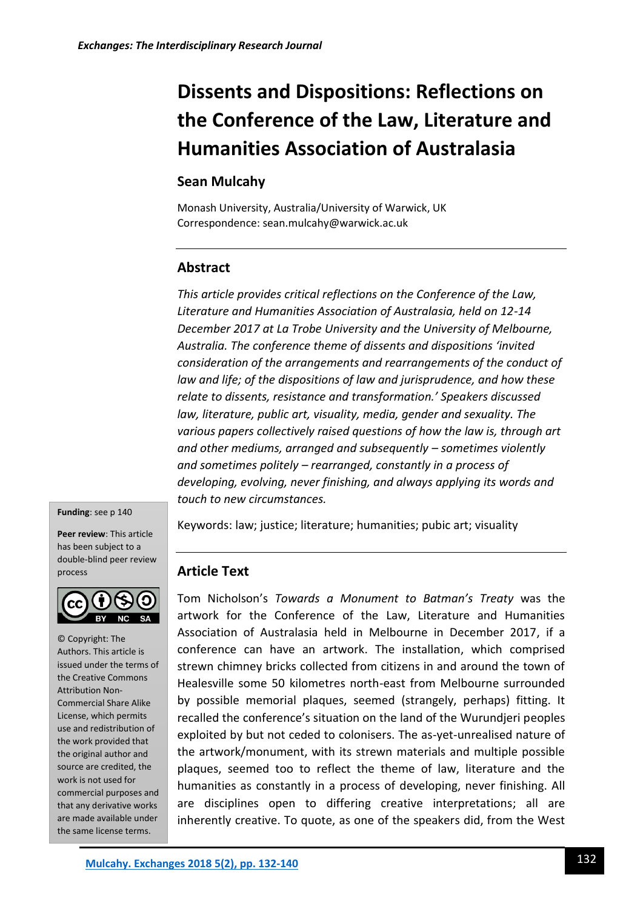# **Dissents and Dispositions: Reflections on the Conference of the Law, Literature and Humanities Association of Australasia**

### **Sean Mulcahy**

Monash University, Australia/University of Warwick, UK Correspondence: sean.mulcahy@warwick.ac.uk

# **Abstract**

*This article provides critical reflections on the Conference of the Law, Literature and Humanities Association of Australasia, held on 12-14 December 2017 at La Trobe University and the University of Melbourne, Australia. The conference theme of dissents and dispositions 'invited consideration of the arrangements and rearrangements of the conduct of law and life; of the dispositions of law and jurisprudence, and how these relate to dissents, resistance and transformation.' Speakers discussed law, literature, public art, visuality, media, gender and sexuality. The various papers collectively raised questions of how the law is, through art and other mediums, arranged and subsequently – sometimes violently and sometimes politely – rearranged, constantly in a process of developing, evolving, never finishing, and always applying its words and touch to new circumstances.*

#### **Funding**: see p 140

**Peer review**: This article has been subject to a double-blind peer review process



© Copyright: The Authors. This article is issued under the terms of the Creative Commons Attribution Non-Commercial Share Alike License, which permits use and redistribution of the work provided that the original author and source are credited, the work is not used for commercial purposes and that any derivative works are made available under the same license terms.

Keywords: law; justice; literature; humanities; pubic art; visuality

#### **Article Text**

Tom Nicholson's *Towards a Monument to Batman's Treaty* was the artwork for the Conference of the Law, Literature and Humanities Association of Australasia held in Melbourne in December 2017, if a conference can have an artwork. The installation, which comprised strewn chimney bricks collected from citizens in and around the town of Healesville some 50 kilometres north-east from Melbourne surrounded by possible memorial plaques, seemed (strangely, perhaps) fitting. It recalled the conference's situation on the land of the Wurundjeri peoples exploited by but not ceded to colonisers. The as-yet-unrealised nature of the artwork/monument, with its strewn materials and multiple possible plaques, seemed too to reflect the theme of law, literature and the humanities as constantly in a process of developing, never finishing. All are disciplines open to differing creative interpretations; all are inherently creative. To quote, as one of the speakers did, from the West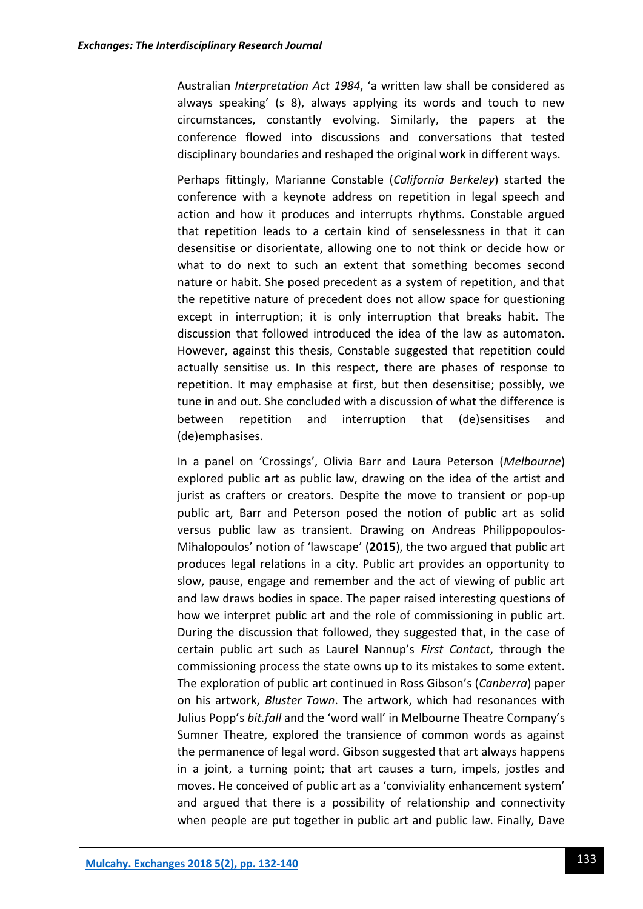Australian *Interpretation Act 1984*, 'a written law shall be considered as always speaking' (s 8), always applying its words and touch to new circumstances, constantly evolving. Similarly, the papers at the conference flowed into discussions and conversations that tested disciplinary boundaries and reshaped the original work in different ways.

Perhaps fittingly, Marianne Constable (*California Berkeley*) started the conference with a keynote address on repetition in legal speech and action and how it produces and interrupts rhythms. Constable argued that repetition leads to a certain kind of senselessness in that it can desensitise or disorientate, allowing one to not think or decide how or what to do next to such an extent that something becomes second nature or habit. She posed precedent as a system of repetition, and that the repetitive nature of precedent does not allow space for questioning except in interruption; it is only interruption that breaks habit. The discussion that followed introduced the idea of the law as automaton. However, against this thesis, Constable suggested that repetition could actually sensitise us. In this respect, there are phases of response to repetition. It may emphasise at first, but then desensitise; possibly, we tune in and out. She concluded with a discussion of what the difference is between repetition and interruption that (de)sensitises and (de)emphasises.

In a panel on 'Crossings', Olivia Barr and Laura Peterson (*Melbourne*) explored public art as public law, drawing on the idea of the artist and jurist as crafters or creators. Despite the move to transient or pop-up public art, Barr and Peterson posed the notion of public art as solid versus public law as transient. Drawing on Andreas Philippopoulos-Mihalopoulos' notion of 'lawscape' (**2015**), the two argued that public art produces legal relations in a city. Public art provides an opportunity to slow, pause, engage and remember and the act of viewing of public art and law draws bodies in space. The paper raised interesting questions of how we interpret public art and the role of commissioning in public art. During the discussion that followed, they suggested that, in the case of certain public art such as Laurel Nannup's *First Contact*, through the commissioning process the state owns up to its mistakes to some extent. The exploration of public art continued in Ross Gibson's (*Canberra*) paper on his artwork, *Bluster Town*. The artwork, which had resonances with Julius Popp's *bit.fall* and the 'word wall' in Melbourne Theatre Company's Sumner Theatre, explored the transience of common words as against the permanence of legal word. Gibson suggested that art always happens in a joint, a turning point; that art causes a turn, impels, jostles and moves. He conceived of public art as a 'conviviality enhancement system' and argued that there is a possibility of relationship and connectivity when people are put together in public art and public law. Finally, Dave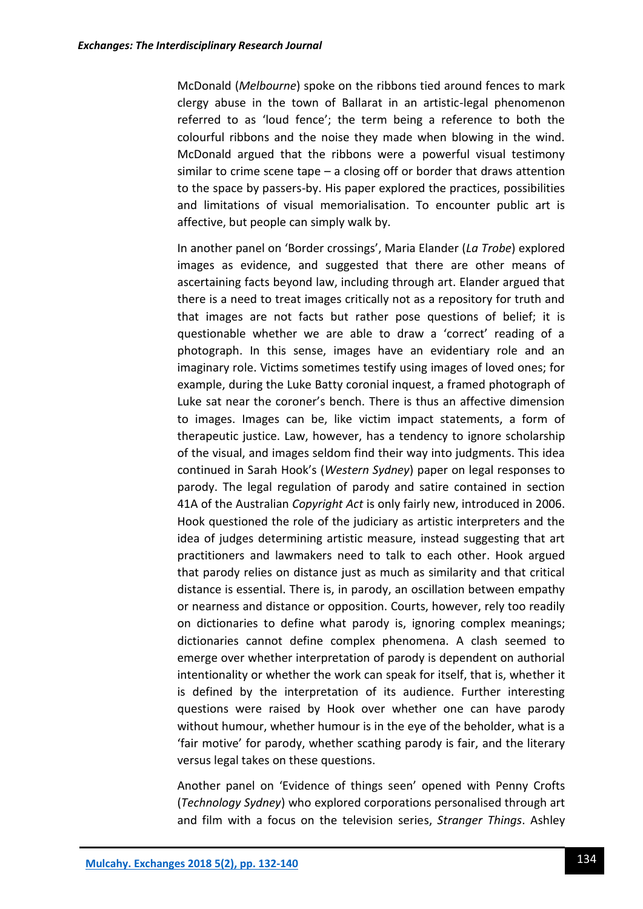McDonald (*Melbourne*) spoke on the ribbons tied around fences to mark clergy abuse in the town of Ballarat in an artistic-legal phenomenon referred to as 'loud fence'; the term being a reference to both the colourful ribbons and the noise they made when blowing in the wind. McDonald argued that the ribbons were a powerful visual testimony similar to crime scene tape – a closing off or border that draws attention to the space by passers-by. His paper explored the practices, possibilities and limitations of visual memorialisation. To encounter public art is affective, but people can simply walk by.

In another panel on 'Border crossings', Maria Elander (*La Trobe*) explored images as evidence, and suggested that there are other means of ascertaining facts beyond law, including through art. Elander argued that there is a need to treat images critically not as a repository for truth and that images are not facts but rather pose questions of belief; it is questionable whether we are able to draw a 'correct' reading of a photograph. In this sense, images have an evidentiary role and an imaginary role. Victims sometimes testify using images of loved ones; for example, during the Luke Batty coronial inquest, a framed photograph of Luke sat near the coroner's bench. There is thus an affective dimension to images. Images can be, like victim impact statements, a form of therapeutic justice. Law, however, has a tendency to ignore scholarship of the visual, and images seldom find their way into judgments. This idea continued in Sarah Hook's (*Western Sydney*) paper on legal responses to parody. The legal regulation of parody and satire contained in section 41A of the Australian *Copyright Act* is only fairly new, introduced in 2006. Hook questioned the role of the judiciary as artistic interpreters and the idea of judges determining artistic measure, instead suggesting that art practitioners and lawmakers need to talk to each other. Hook argued that parody relies on distance just as much as similarity and that critical distance is essential. There is, in parody, an oscillation between empathy or nearness and distance or opposition. Courts, however, rely too readily on dictionaries to define what parody is, ignoring complex meanings; dictionaries cannot define complex phenomena. A clash seemed to emerge over whether interpretation of parody is dependent on authorial intentionality or whether the work can speak for itself, that is, whether it is defined by the interpretation of its audience. Further interesting questions were raised by Hook over whether one can have parody without humour, whether humour is in the eye of the beholder, what is a 'fair motive' for parody, whether scathing parody is fair, and the literary versus legal takes on these questions.

Another panel on 'Evidence of things seen' opened with Penny Crofts (*Technology Sydney*) who explored corporations personalised through art and film with a focus on the television series, *Stranger Things*. Ashley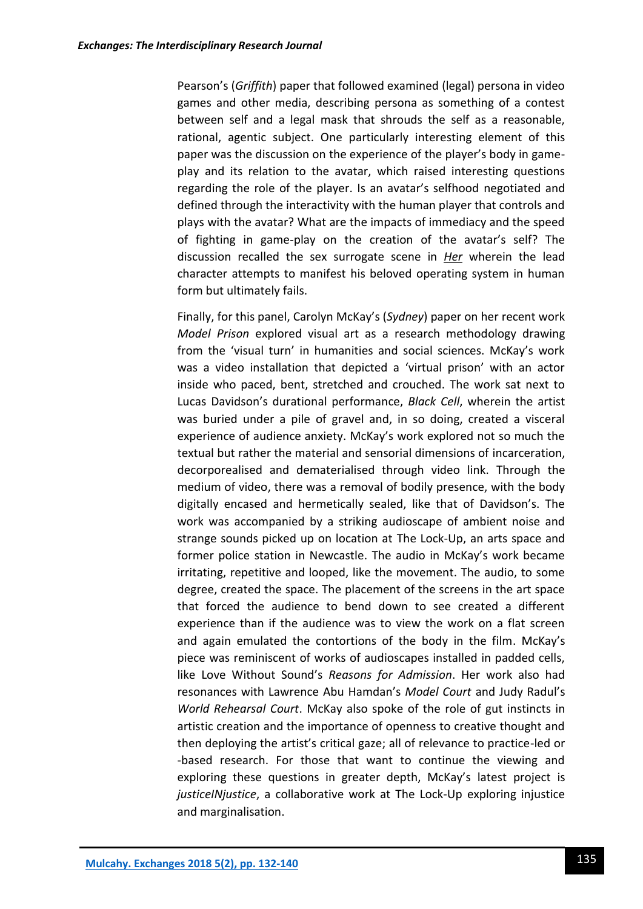Pearson's (*Griffith*) paper that followed examined (legal) persona in video games and other media, describing persona as something of a contest between self and a legal mask that shrouds the self as a reasonable, rational, agentic subject. One particularly interesting element of this paper was the discussion on the experience of the player's body in gameplay and its relation to the avatar, which raised interesting questions regarding the role of the player. Is an avatar's selfhood negotiated and defined through the interactivity with the human player that controls and plays with the avatar? What are the impacts of immediacy and the speed of fighting in game-play on the creation of the avatar's self? The discussion recalled the sex surrogate scene in *Her* wherein the lead character attempts to manifest his beloved operating system in human form but ultimately fails.

Finally, for this panel, Carolyn McKay's (*Sydney*) paper on her recent work *Model Prison* explored visual art as a research methodology drawing from the 'visual turn' in humanities and social sciences. McKay's work was a video installation that depicted a 'virtual prison' with an actor inside who paced, bent, stretched and crouched. The work sat next to Lucas Davidson's durational performance, *Black Cell*, wherein the artist was buried under a pile of gravel and, in so doing, created a visceral experience of audience anxiety. McKay's work explored not so much the textual but rather the material and sensorial dimensions of incarceration, decorporealised and dematerialised through video link. Through the medium of video, there was a removal of bodily presence, with the body digitally encased and hermetically sealed, like that of Davidson's. The work was accompanied by a striking audioscape of ambient noise and strange sounds picked up on location at The Lock-Up, an arts space and former police station in Newcastle. The audio in McKay's work became irritating, repetitive and looped, like the movement. The audio, to some degree, created the space. The placement of the screens in the art space that forced the audience to bend down to see created a different experience than if the audience was to view the work on a flat screen and again emulated the contortions of the body in the film. McKay's piece was reminiscent of works of audioscapes installed in padded cells, like Love Without Sound's *Reasons for Admission*. Her work also had resonances with Lawrence Abu Hamdan's *Model Court* and Judy Radul's *World Rehearsal Court*. McKay also spoke of the role of gut instincts in artistic creation and the importance of openness to creative thought and then deploying the artist's critical gaze; all of relevance to practice-led or -based research. For those that want to continue the viewing and exploring these questions in greater depth, McKay's latest project is *justiceINjustice*, a collaborative work at The Lock-Up exploring injustice and marginalisation.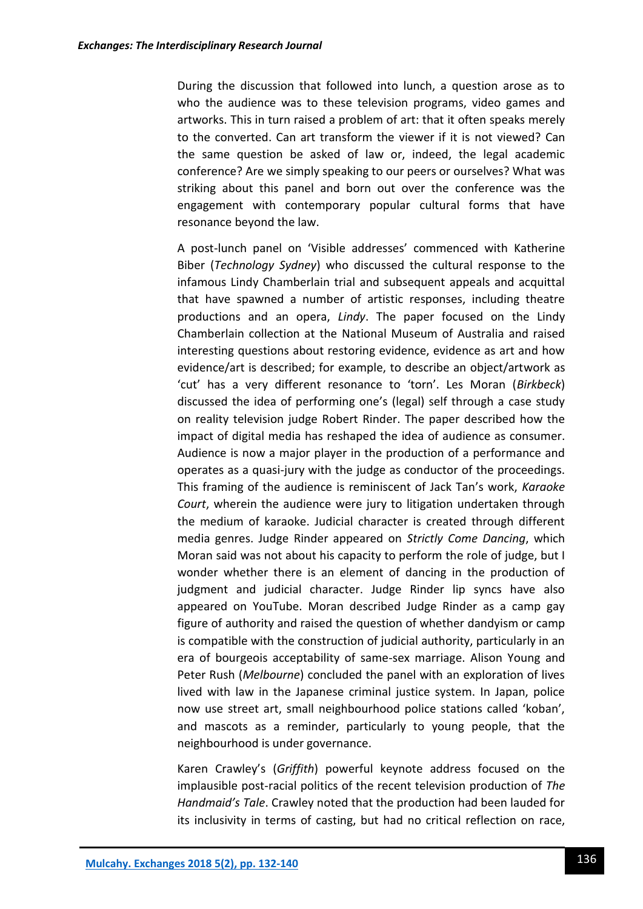During the discussion that followed into lunch, a question arose as to who the audience was to these television programs, video games and artworks. This in turn raised a problem of art: that it often speaks merely to the converted. Can art transform the viewer if it is not viewed? Can the same question be asked of law or, indeed, the legal academic conference? Are we simply speaking to our peers or ourselves? What was striking about this panel and born out over the conference was the engagement with contemporary popular cultural forms that have resonance beyond the law.

A post-lunch panel on 'Visible addresses' commenced with Katherine Biber (*Technology Sydney*) who discussed the cultural response to the infamous Lindy Chamberlain trial and subsequent appeals and acquittal that have spawned a number of artistic responses, including theatre productions and an opera, *Lindy*. The paper focused on the Lindy Chamberlain collection at the National Museum of Australia and raised interesting questions about restoring evidence, evidence as art and how evidence/art is described; for example, to describe an object/artwork as 'cut' has a very different resonance to 'torn'. Les Moran (*Birkbeck*) discussed the idea of performing one's (legal) self through a case study on reality television judge Robert Rinder. The paper described how the impact of digital media has reshaped the idea of audience as consumer. Audience is now a major player in the production of a performance and operates as a quasi-jury with the judge as conductor of the proceedings. This framing of the audience is reminiscent of Jack Tan's work, *Karaoke Court*, wherein the audience were jury to litigation undertaken through the medium of karaoke. Judicial character is created through different media genres. Judge Rinder appeared on *Strictly Come Dancing*, which Moran said was not about his capacity to perform the role of judge, but I wonder whether there is an element of dancing in the production of judgment and judicial character. Judge Rinder lip syncs have also appeared on YouTube. Moran described Judge Rinder as a camp gay figure of authority and raised the question of whether dandyism or camp is compatible with the construction of judicial authority, particularly in an era of bourgeois acceptability of same-sex marriage. Alison Young and Peter Rush (*Melbourne*) concluded the panel with an exploration of lives lived with law in the Japanese criminal justice system. In Japan, police now use street art, small neighbourhood police stations called 'koban', and mascots as a reminder, particularly to young people, that the neighbourhood is under governance.

Karen Crawley's (*Griffith*) powerful keynote address focused on the implausible post-racial politics of the recent television production of *The Handmaid's Tale*. Crawley noted that the production had been lauded for its inclusivity in terms of casting, but had no critical reflection on race,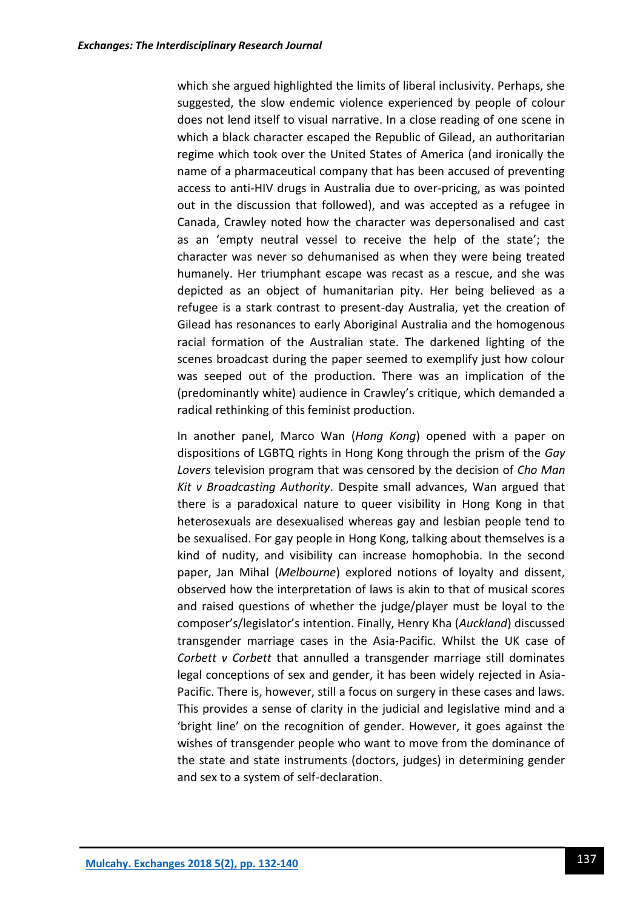which she argued highlighted the limits of liberal inclusivity. Perhaps, she suggested, the slow endemic violence experienced by people of colour does not lend itself to visual narrative. In a close reading of one scene in which a black character escaped the Republic of Gilead, an authoritarian regime which took over the United States of America (and ironically the name of a pharmaceutical company that has been accused of preventing access to anti-HIV drugs in Australia due to over-pricing, as was pointed out in the discussion that followed), and was accepted as a refugee in Canada, Crawley noted how the character was depersonalised and cast as an 'empty neutral vessel to receive the help of the state'; the character was never so dehumanised as when they were being treated humanely. Her triumphant escape was recast as a rescue, and she was depicted as an object of humanitarian pity. Her being believed as a refugee is a stark contrast to present-day Australia, yet the creation of Gilead has resonances to early Aboriginal Australia and the homogenous racial formation of the Australian state. The darkened lighting of the scenes broadcast during the paper seemed to exemplify just how colour was seeped out of the production. There was an implication of the (predominantly white) audience in Crawley's critique, which demanded a radical rethinking of this feminist production.

In another panel, Marco Wan (*Hong Kong*) opened with a paper on dispositions of LGBTQ rights in Hong Kong through the prism of the *Gay Lovers* television program that was censored by the decision of *Cho Man Kit v Broadcasting Authority*. Despite small advances, Wan argued that there is a paradoxical nature to queer visibility in Hong Kong in that heterosexuals are desexualised whereas gay and lesbian people tend to be sexualised. For gay people in Hong Kong, talking about themselves is a kind of nudity, and visibility can increase homophobia. In the second paper, Jan Mihal (*Melbourne*) explored notions of loyalty and dissent, observed how the interpretation of laws is akin to that of musical scores and raised questions of whether the judge/player must be loyal to the composer's/legislator's intention. Finally, Henry Kha (*Auckland*) discussed transgender marriage cases in the Asia-Pacific. Whilst the UK case of *Corbett v Corbett* that annulled a transgender marriage still dominates legal conceptions of sex and gender, it has been widely rejected in Asia-Pacific. There is, however, still a focus on surgery in these cases and laws. This provides a sense of clarity in the judicial and legislative mind and a 'bright line' on the recognition of gender. However, it goes against the wishes of transgender people who want to move from the dominance of the state and state instruments (doctors, judges) in determining gender and sex to a system of self-declaration.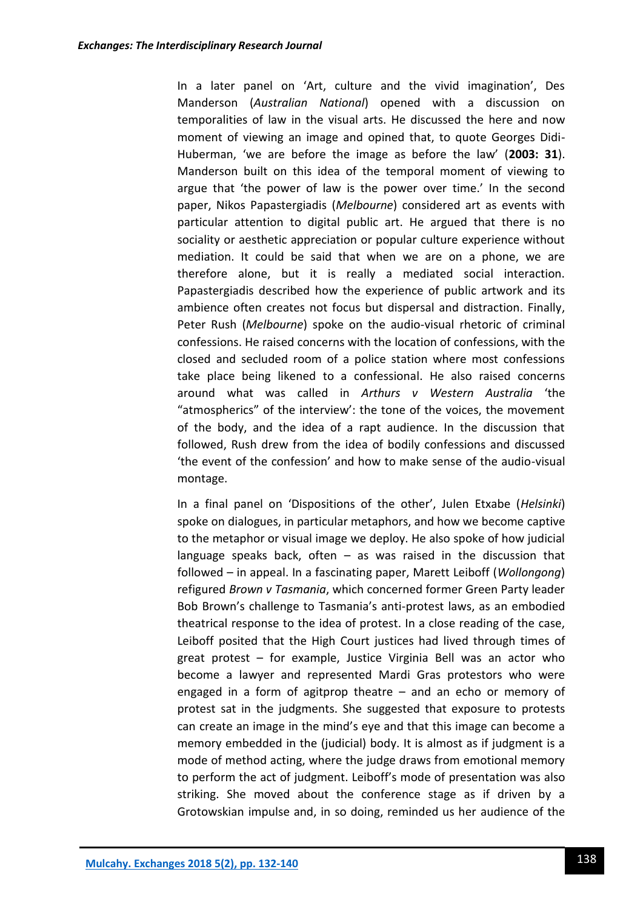In a later panel on 'Art, culture and the vivid imagination', Des Manderson (*Australian National*) opened with a discussion on temporalities of law in the visual arts. He discussed the here and now moment of viewing an image and opined that, to quote Georges Didi-Huberman, 'we are before the image as before the law' (**2003: 31**). Manderson built on this idea of the temporal moment of viewing to argue that 'the power of law is the power over time.' In the second paper, Nikos Papastergiadis (*Melbourne*) considered art as events with particular attention to digital public art. He argued that there is no sociality or aesthetic appreciation or popular culture experience without mediation. It could be said that when we are on a phone, we are therefore alone, but it is really a mediated social interaction. Papastergiadis described how the experience of public artwork and its ambience often creates not focus but dispersal and distraction. Finally, Peter Rush (*Melbourne*) spoke on the audio-visual rhetoric of criminal confessions. He raised concerns with the location of confessions, with the closed and secluded room of a police station where most confessions take place being likened to a confessional. He also raised concerns around what was called in *Arthurs v Western Australia* 'the "atmospherics" of the interview': the tone of the voices, the movement of the body, and the idea of a rapt audience. In the discussion that followed, Rush drew from the idea of bodily confessions and discussed 'the event of the confession' and how to make sense of the audio-visual montage.

In a final panel on 'Dispositions of the other', Julen Etxabe (*Helsinki*) spoke on dialogues, in particular metaphors, and how we become captive to the metaphor or visual image we deploy. He also spoke of how judicial language speaks back, often  $-$  as was raised in the discussion that followed – in appeal. In a fascinating paper, Marett Leiboff (*Wollongong*) refigured *Brown v Tasmania*, which concerned former Green Party leader Bob Brown's challenge to Tasmania's anti-protest laws, as an embodied theatrical response to the idea of protest. In a close reading of the case, Leiboff posited that the High Court justices had lived through times of great protest – for example, Justice Virginia Bell was an actor who become a lawyer and represented Mardi Gras protestors who were engaged in a form of agitprop theatre – and an echo or memory of protest sat in the judgments. She suggested that exposure to protests can create an image in the mind's eye and that this image can become a memory embedded in the (judicial) body. It is almost as if judgment is a mode of method acting, where the judge draws from emotional memory to perform the act of judgment. Leiboff's mode of presentation was also striking. She moved about the conference stage as if driven by a Grotowskian impulse and, in so doing, reminded us her audience of the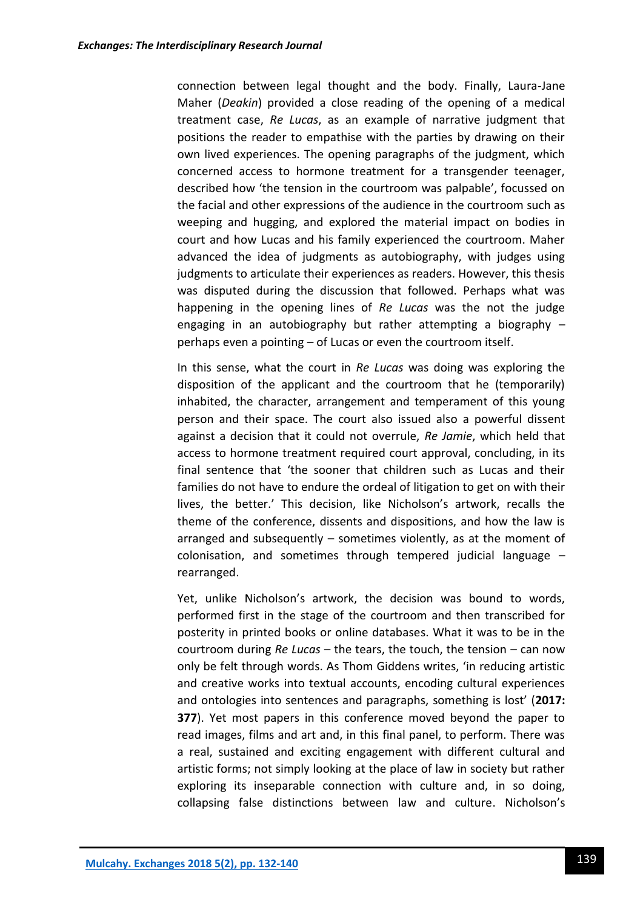connection between legal thought and the body. Finally, Laura-Jane Maher (*Deakin*) provided a close reading of the opening of a medical treatment case, *Re Lucas*, as an example of narrative judgment that positions the reader to empathise with the parties by drawing on their own lived experiences. The opening paragraphs of the judgment, which concerned access to hormone treatment for a transgender teenager, described how 'the tension in the courtroom was palpable', focussed on the facial and other expressions of the audience in the courtroom such as weeping and hugging, and explored the material impact on bodies in court and how Lucas and his family experienced the courtroom. Maher advanced the idea of judgments as autobiography, with judges using judgments to articulate their experiences as readers. However, this thesis was disputed during the discussion that followed. Perhaps what was happening in the opening lines of *Re Lucas* was the not the judge engaging in an autobiography but rather attempting a biography  $$ perhaps even a pointing – of Lucas or even the courtroom itself.

In this sense, what the court in *Re Lucas* was doing was exploring the disposition of the applicant and the courtroom that he (temporarily) inhabited, the character, arrangement and temperament of this young person and their space. The court also issued also a powerful dissent against a decision that it could not overrule, *Re Jamie*, which held that access to hormone treatment required court approval, concluding, in its final sentence that 'the sooner that children such as Lucas and their families do not have to endure the ordeal of litigation to get on with their lives, the better.' This decision, like Nicholson's artwork, recalls the theme of the conference, dissents and dispositions, and how the law is arranged and subsequently – sometimes violently, as at the moment of colonisation, and sometimes through tempered judicial language – rearranged.

Yet, unlike Nicholson's artwork, the decision was bound to words, performed first in the stage of the courtroom and then transcribed for posterity in printed books or online databases. What it was to be in the courtroom during *Re Lucas* – the tears, the touch, the tension – can now only be felt through words. As Thom Giddens writes, 'in reducing artistic and creative works into textual accounts, encoding cultural experiences and ontologies into sentences and paragraphs, something is lost' (**2017: 377**). Yet most papers in this conference moved beyond the paper to read images, films and art and, in this final panel, to perform. There was a real, sustained and exciting engagement with different cultural and artistic forms; not simply looking at the place of law in society but rather exploring its inseparable connection with culture and, in so doing, collapsing false distinctions between law and culture. Nicholson's